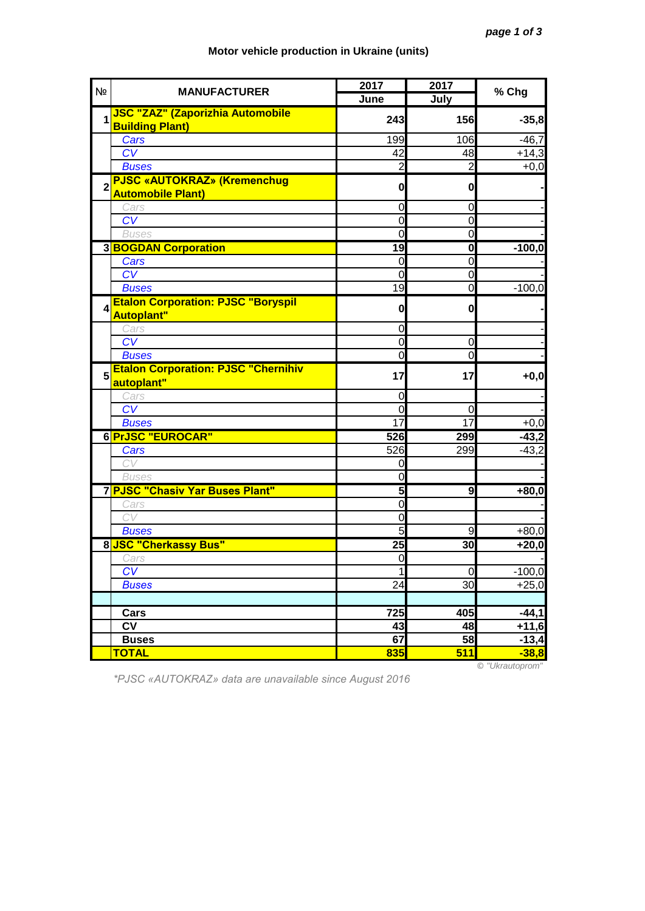| N <sub>Ω</sub>   | <b>MANUFACTURER</b>                                               | 2017           | 2017           | % Chg    |
|------------------|-------------------------------------------------------------------|----------------|----------------|----------|
|                  |                                                                   | June           | July           |          |
| 1                | <b>JSC "ZAZ" (Zaporizhia Automobile</b><br><b>Building Plant)</b> | 243            | 156            | $-35,8$  |
|                  | Cars                                                              | 199            | 106            | $-46,7$  |
|                  | CV                                                                | 42             | 48             | $+14,3$  |
|                  | <b>Buses</b>                                                      | 2              | $\overline{2}$ | $+0,0$   |
| $\overline{2}$   | <b>PJSC «AUTOKRAZ» (Kremenchug</b><br><b>Automobile Plant)</b>    | $\mathbf{0}$   | 0              |          |
|                  | Cars                                                              | 0              | $\mathbf 0$    |          |
|                  | CV                                                                | 0              | $\mathbf 0$    |          |
|                  | <b>Buses</b>                                                      | 0              | O              |          |
|                  | <b>3 BOGDAN Corporation</b>                                       | 19             | $\mathbf{0}$   | $-100,0$ |
|                  | Cars                                                              | 0              | $\overline{0}$ |          |
|                  | CV                                                                | $\overline{0}$ | $\overline{0}$ |          |
|                  | <b>Buses</b>                                                      | 19             | Ō              | $-100,0$ |
| $\boldsymbol{A}$ | <b>Etalon Corporation: PJSC "Boryspil</b><br><b>Autoplant"</b>    | $\mathbf{0}$   | $\mathbf 0$    |          |
|                  | Cars                                                              | 0              |                |          |
|                  | $\overline{\text{CV}}$                                            | $\mathbf 0$    | $\mathbf 0$    |          |
|                  | <b>Buses</b>                                                      | 0              | $\overline{0}$ |          |
| 5                | <b>Etalon Corporation: PJSC "Chernihiv</b><br>autoplant"          | 17             | 17             | $+0,0$   |
|                  | Cars                                                              | 0              |                |          |
|                  | CV                                                                | 0              | 0              |          |
|                  | <b>Buses</b>                                                      | 17             | 17             | $+0,0$   |
|                  | 6 PrJSC "EUROCAR"                                                 | 526            | 299            | $-43,2$  |
|                  | Cars                                                              | 526            | 299            | $-43,2$  |
|                  | CV                                                                | 0              |                |          |
|                  | <b>Buses</b>                                                      | $\overline{0}$ |                |          |
|                  | 7 PJSC "Chasiv Yar Buses Plant"                                   | 5              | 9              | $+80,0$  |
|                  | Cars                                                              | 0              |                |          |
|                  | CV                                                                | 0              |                |          |
|                  | <b>Buses</b>                                                      | 5              | 9              | $+80,0$  |
|                  | 8 JSC "Cherkassy Bus"                                             | 25             | 30             | $+20,0$  |
|                  | Cars                                                              | $\Omega$       |                |          |
|                  | CV                                                                | 1              | $\mathbf 0$    | $-100,0$ |
|                  | <b>Buses</b>                                                      | 24             | 30             | $+25,0$  |
|                  |                                                                   |                |                |          |
|                  | Cars                                                              | 725            | 405            | $-44,1$  |
|                  | $\overline{\mathsf{cv}}$                                          | 43             | 48             | $+11,6$  |
|                  | <b>Buses</b>                                                      | 67             | 58             | $-13,4$  |
|                  | <b>TOTAL</b>                                                      | 835            | 511            | $-38,8$  |

## **Motor vehicle production in Ukraine (units)**

*\*PJSC «AUTOKRAZ» data are unavailable since August 2016*

© *"Ukrautoprom"*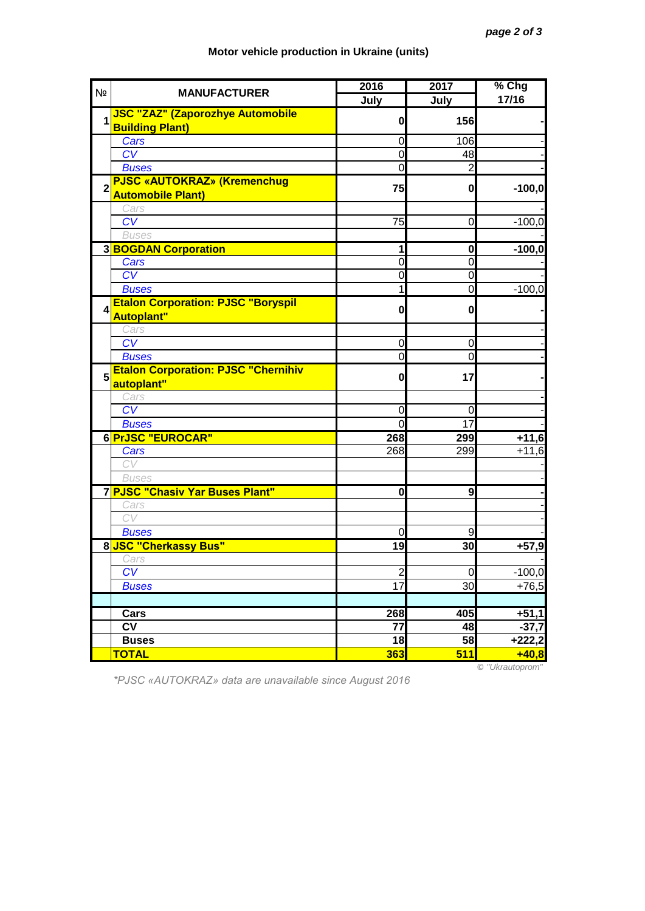| N <sub>2</sub> | <b>MANUFACTURER</b>                        | 2016                          | 2017                    | % Chg    |
|----------------|--------------------------------------------|-------------------------------|-------------------------|----------|
|                |                                            | July                          | July                    | 17/16    |
| 1              | <b>JSC "ZAZ" (Zaporozhye Automobile</b>    | 0                             | 156                     |          |
|                | <b>Building Plant)</b>                     |                               |                         |          |
|                | Cars                                       | 0                             | 106                     |          |
|                | $\overline{\text{CV}}$                     | $\mathbf 0$                   | 48                      |          |
|                | <b>Buses</b>                               | $\overline{0}$                | $\overline{c}$          |          |
| $\overline{2}$ | <b>PJSC «AUTOKRAZ» (Kremenchug</b>         | 75                            | $\mathbf{0}$            | $-100,0$ |
|                | <b>Automobile Plant)</b>                   |                               |                         |          |
|                | Cars                                       |                               |                         |          |
|                | CV                                         | 75                            | $\mathbf 0$             | $-100,0$ |
|                | <b>Buses</b>                               |                               |                         |          |
|                | <b>3BOGDAN Corporation</b>                 | 1                             | 0                       | $-100,0$ |
|                | Cars                                       | $\overline{0}$                | $\mathbf 0$             |          |
|                | CV                                         | 0                             | $\mathbf 0$             |          |
|                | <b>Buses</b>                               | 1                             | $\mathbf 0$             | $-100,0$ |
| 4              | <b>Etalon Corporation: PJSC "Boryspil</b>  | 0                             | 0                       |          |
|                | <b>Autoplant"</b>                          |                               |                         |          |
|                | Cars                                       |                               |                         |          |
|                | CV                                         | $\mathbf 0$<br>$\overline{0}$ | $\mathbf 0$<br>$\Omega$ |          |
|                | <b>Buses</b>                               |                               |                         |          |
| 5              | <b>Etalon Corporation: PJSC "Chernihiv</b> | $\mathbf{0}$                  | 17                      |          |
|                | autoplant"                                 |                               |                         |          |
|                | Cars<br>CV                                 | 0                             | 0                       |          |
|                | <b>Buses</b>                               | 0                             | 17                      |          |
|                | 6 PrJSC "EUROCAR"                          | 268                           | 299                     | $+11,6$  |
|                | Cars                                       | 268                           | 299                     | $+11,6$  |
|                | CV                                         |                               |                         |          |
|                | <b>Buses</b>                               |                               |                         |          |
|                | 7 PJSC "Chasiv Yar Buses Plant"            | 0                             | 9                       |          |
|                | Cars                                       |                               |                         |          |
|                | CV                                         |                               |                         |          |
|                | <b>Buses</b>                               | $\overline{0}$                | 9                       |          |
|                | 8 JSC "Cherkassy Bus"                      | 19                            | 30                      | $+57,9$  |
|                | Cars                                       |                               |                         |          |
|                | $\overline{\text{CV}}$                     | $\overline{c}$                | $\overline{0}$          | $-100,0$ |
|                | <b>Buses</b>                               | $\overline{17}$               | 30                      | $+76,5$  |
|                |                                            |                               |                         |          |
|                | Cars                                       | 268                           | 405                     | $+51,1$  |
|                | <b>CV</b>                                  | 77                            | 48                      | $-37,7$  |
|                | <b>Buses</b>                               | 18                            | 58                      | $+222,2$ |
|                | <b>TOTAL</b>                               | <b>363</b>                    | 511                     | $+40,8$  |
|                |                                            |                               |                         |          |

## **Motor vehicle production in Ukraine (units)**

*\*PJSC «AUTOKRAZ» data are unavailable since August 2016*

© *"Ukrautoprom"*